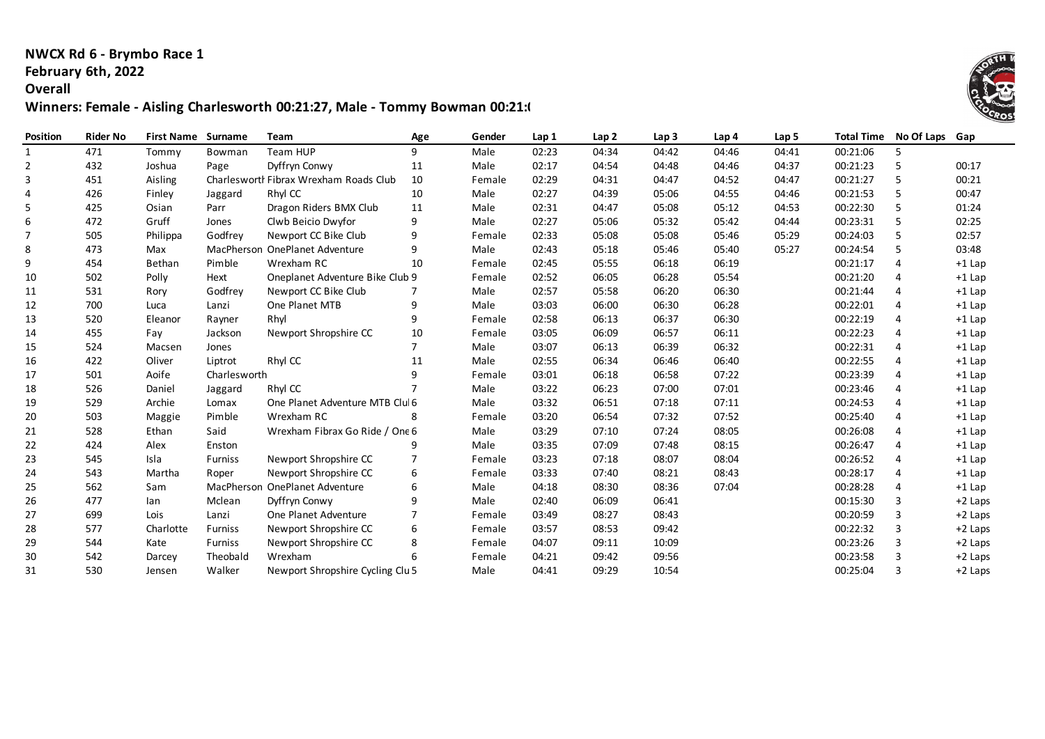### **NWCX Rd 6 - Brymbo Race 1 February 6th, 2022**

#### **Overall**

# **Winners: Female - Aisling Charlesworth 00:21:27, Male - Tommy Bowman 00:21:06**

| <b>Position</b> | <b>Rider No</b> | <b>First Name</b> | Surname        | Team                                   | Age            | Gender | Lap 1 | Lap <sub>2</sub> | Lap <sub>3</sub> | Lap <sub>4</sub> | Lap <sub>5</sub> | <b>Total Time</b> | No Of Laps | Gap       |
|-----------------|-----------------|-------------------|----------------|----------------------------------------|----------------|--------|-------|------------------|------------------|------------------|------------------|-------------------|------------|-----------|
| 1               | 471             | Tommy             | Bowman         | Team HUP                               | 9              | Male   | 02:23 | 04:34            | 04:42            | 04:46            | 04:41            | 00:21:06          | 5.         |           |
| 2               | 432             | Joshua            | Page           | Dyffryn Conwy                          | 11             | Male   | 02:17 | 04:54            | 04:48            | 04:46            | 04:37            | 00:21:23          | 5          | 00:17     |
| 3               | 451             | Aisling           |                | Charlesworth Fibrax Wrexham Roads Club | 10             | Female | 02:29 | 04:31            | 04:47            | 04:52            | 04:47            | 00:21:27          | 5          | 00:21     |
| 4               | 426             | Finley            | Jaggard        | Rhyl CC                                | 10             | Male   | 02:27 | 04:39            | 05:06            | 04:55            | 04:46            | 00:21:53          | 5          | 00:47     |
| 5               | 425             | Osian             | Parr           | Dragon Riders BMX Club                 | 11             | Male   | 02:31 | 04:47            | 05:08            | 05:12            | 04:53            | 00:22:30          | 5          | 01:24     |
| 6               | 472             | Gruff             | Jones          | Clwb Beicio Dwyfor                     | 9              | Male   | 02:27 | 05:06            | 05:32            | 05:42            | 04:44            | 00:23:31          | 5          | 02:25     |
| 7               | 505             | Philippa          | Godfrev        | Newport CC Bike Club                   | 9              | Female | 02:33 | 05:08            | 05:08            | 05:46            | 05:29            | 00:24:03          | 5          | 02:57     |
| 8               | 473             | Max               |                | MacPherson OnePlanet Adventure         | 9              | Male   | 02:43 | 05:18            | 05:46            | 05:40            | 05:27            | 00:24:54          | 5          | 03:48     |
| 9               | 454             | Bethan            | Pimble         | Wrexham RC                             | 10             | Female | 02:45 | 05:55            | 06:18            | 06:19            |                  | 00:21:17          | 4          | $+1$ Lap  |
| 10              | 502             | Polly             | Hext           | Oneplanet Adventure Bike Club 9        |                | Female | 02:52 | 06:05            | 06:28            | 05:54            |                  | 00:21:20          | 4          | $+1$ Lap  |
| 11              | 531             | Rory              | Godfrey        | Newport CC Bike Club                   |                | Male   | 02:57 | 05:58            | 06:20            | 06:30            |                  | 00:21:44          | 4          | $+1$ Lap  |
| 12              | 700             | Luca              | Lanzi          | One Planet MTB                         | 9              | Male   | 03:03 | 06:00            | 06:30            | 06:28            |                  | 00:22:01          | 4          | $+1$ Lap  |
| 13              | 520             | Eleanor           | Rayner         | Rhyl                                   | 9              | Female | 02:58 | 06:13            | 06:37            | 06:30            |                  | 00:22:19          | 4          | $+1$ Lap  |
| 14              | 455             | Fay               | Jackson        | Newport Shropshire CC                  | 10             | Female | 03:05 | 06:09            | 06:57            | 06:11            |                  | 00:22:23          | 4          | $+1$ Lap  |
| 15              | 524             | Macsen            | Jones          |                                        | $\overline{7}$ | Male   | 03:07 | 06:13            | 06:39            | 06:32            |                  | 00:22:31          | 4          | $+1$ Lap  |
| 16              | 422             | Oliver            | Liptrot        | Rhyl CC                                | 11             | Male   | 02:55 | 06:34            | 06:46            | 06:40            |                  | 00:22:55          | 4          | $+1$ Lap  |
| 17              | 501             | Aoife             | Charlesworth   |                                        | 9              | Female | 03:01 | 06:18            | 06:58            | 07:22            |                  | 00:23:39          | 4          | $+1$ Lap  |
| 18              | 526             | Daniel            | Jaggard        | Rhyl CC                                | $\overline{7}$ | Male   | 03:22 | 06:23            | 07:00            | 07:01            |                  | 00:23:46          | 4          | $+1$ Lap  |
| 19              | 529             | Archie            | Lomax          | One Planet Adventure MTB Clul 6        |                | Male   | 03:32 | 06:51            | 07:18            | 07:11            |                  | 00:24:53          | 4          | $+1$ Lap  |
| 20              | 503             | Maggie            | Pimble         | Wrexham RC                             | 8              | Female | 03:20 | 06:54            | 07:32            | 07:52            |                  | 00:25:40          | 4          | $+1$ Lap  |
| 21              | 528             | Ethan             | Said           | Wrexham Fibrax Go Ride / One 6         |                | Male   | 03:29 | 07:10            | 07:24            | 08:05            |                  | 00:26:08          | 4          | $+1$ Lap  |
| 22              | 424             | Alex              | Enston         |                                        | 9              | Male   | 03:35 | 07:09            | 07:48            | 08:15            |                  | 00:26:47          | 4          | $+1$ Lap  |
| 23              | 545             | Isla              | <b>Furniss</b> | Newport Shropshire CC                  |                | Female | 03:23 | 07:18            | 08:07            | 08:04            |                  | 00:26:52          | 4          | $+1$ Lap  |
| 24              | 543             | Martha            | Roper          | Newport Shropshire CC                  | 6              | Female | 03:33 | 07:40            | 08:21            | 08:43            |                  | 00:28:17          | 4          | $+1$ Lap  |
| 25              | 562             | Sam               |                | MacPherson OnePlanet Adventure         | 6              | Male   | 04:18 | 08:30            | 08:36            | 07:04            |                  | 00:28:28          | 4          | $+1$ Lap  |
| 26              | 477             | lan               | Mclean         | Dyffryn Conwy                          | 9              | Male   | 02:40 | 06:09            | 06:41            |                  |                  | 00:15:30          | 3          | $+2$ Laps |
| 27              | 699             | Lois              | Lanzi          | One Planet Adventure                   | 7              | Female | 03:49 | 08:27            | 08:43            |                  |                  | 00:20:59          | 3          | $+2$ Laps |
| 28              | 577             | Charlotte         | <b>Furniss</b> | Newport Shropshire CC                  | 6              | Female | 03:57 | 08:53            | 09:42            |                  |                  | 00:22:32          | 3          | $+2$ Laps |
| 29              | 544             | Kate              | <b>Furniss</b> | Newport Shropshire CC                  | 8              | Female | 04:07 | 09:11            | 10:09            |                  |                  | 00:23:26          | 3          | $+2$ Laps |
| 30              | 542             | Darcey            | Theobald       | Wrexham                                | 6              | Female | 04:21 | 09:42            | 09:56            |                  |                  | 00:23:58          | 3          | +2 Laps   |
| 31              | 530             | Jensen            | Walker         | Newport Shropshire Cycling Clu 5       |                | Male   | 04:41 | 09:29            | 10:54            |                  |                  | 00:25:04          | 3          | +2 Laps   |

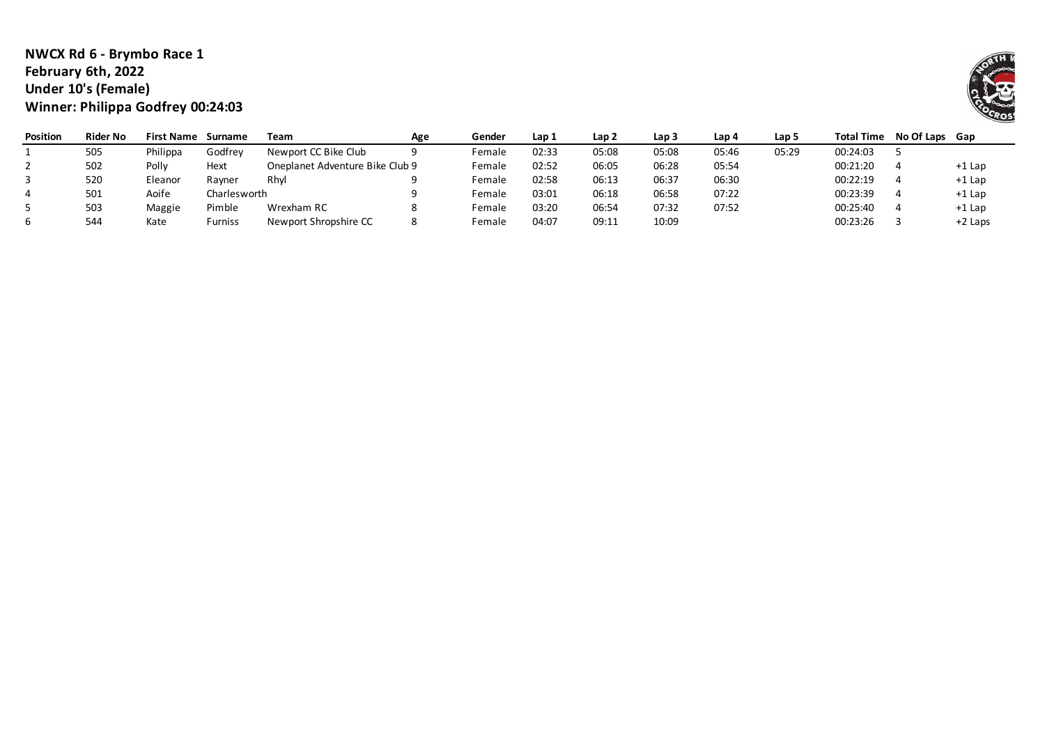## **NWCX Rd 6 - Brymbo Race 1 February 6th, 2022 Under 10's (Female) Winner: Philippa Godfrey 00:24:03**

| <b>Position</b> | <b>Rider No</b> | <b>First Name</b> | Surname             | Team                            | Age | Gender | Lap 1 | Lap 2 | Lap <sub>3</sub> | Lap 4 | Lap 5 | Total Time | No Of Laps Gap |           |
|-----------------|-----------------|-------------------|---------------------|---------------------------------|-----|--------|-------|-------|------------------|-------|-------|------------|----------------|-----------|
|                 | 505             | Philippa          | Godfrev             | Newport CC Bike Club            |     | Female | 02:33 | 05:08 | 05:08            | 05:46 | 05:29 | 00:24:03   |                |           |
|                 | 502             | Polly             | Hext                | Oneplanet Adventure Bike Club 9 |     | Female | 02:52 | 06:05 | 06:28            | 05:54 |       | 00:21:20   |                | +1 Lap    |
|                 | 520             | Eleanor           | Ravner              | Rhvl                            |     | Female | 02:58 | 06:13 | 06:37            | 06:30 |       | 00:22:19   |                | $+1$ Lap  |
|                 | 501             | Aoife             | Charlesworth        |                                 |     | Female | 03:01 | 06:18 | 06:58            | 07:22 |       | 00:23:39   |                | +1 Lap    |
|                 | 503             | Maggie            | Pimble              | Wrexham RC                      |     | Female | 03:20 | 06:54 | 07:32            | 07:52 |       | 00:25:40   |                | +1 Lap    |
|                 | 544             | Kate              | urniss <sup>:</sup> | Newport Shropshire CC           |     | Female | 04:07 | 09:11 | 10:09            |       |       | 00:23:26   |                | $+2$ Laps |

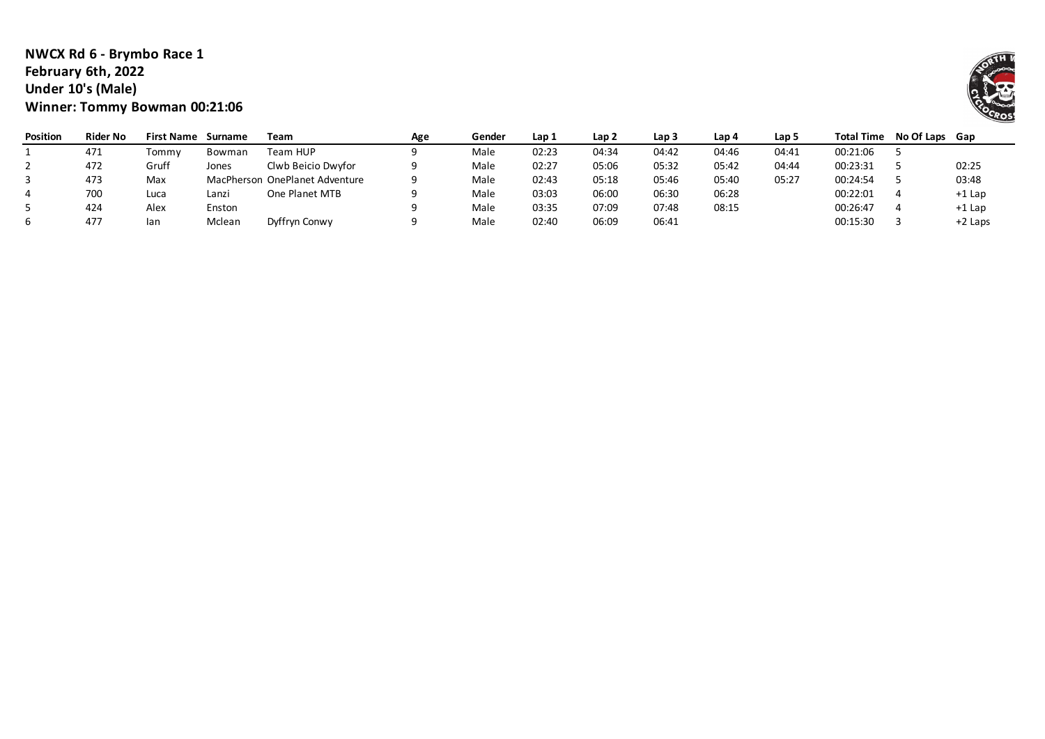#### **NWCX Rd 6 - Brymbo Race 1 February 6th, 2022 Under 10's (Male) Winner: Tommy Bowman 00:21:06**

| Position | <b>Rider No</b> | <b>First Name</b> | Surname | Team                           | Age | Gender | Lap 1 | Lap <sub>2</sub> | Lap <sub>3</sub> | Lap 4 | Lap 5 | <b>Total Time</b> | No Of Laps Gap |           |
|----------|-----------------|-------------------|---------|--------------------------------|-----|--------|-------|------------------|------------------|-------|-------|-------------------|----------------|-----------|
|          | 471             | Tommv             | Bowman  | Team HUP                       |     | Male   | 02:23 | 04:34            | 04:42            | 04:46 | 04:41 | 00:21:06          |                |           |
|          | 472             | Gruff             | Jones   | Clwb Beicio Dwyfor             |     | Male   | 02:27 | 05:06            | 05:32            | 05:42 | 04:44 | 00:23:31          |                | 02:25     |
|          | 473             | Max               |         | MacPherson OnePlanet Adventure |     | Male   | 02:43 | 05:18            | 05:46            | 05:40 | 05:27 | 00:24:54          |                | 03:48     |
|          | 700             | Luca              | Lanzi   | One Planet MTB                 |     | Male   | 03:03 | 06:00            | 06:30            | 06:28 |       | 00:22:01          |                | +1 Lap    |
|          | 424             | Alex              | Enston  |                                |     | Male   | 03:35 | 07:09            | 07:48            | 08:15 |       | 00:26:47          |                | $+1$ Lap  |
|          | 477             | lan               | Mclean  | Dyffryn Conwy                  |     | Male   | 02:40 | 06:09            | 06:41            |       |       | 00:15:30          |                | $+2$ Laps |

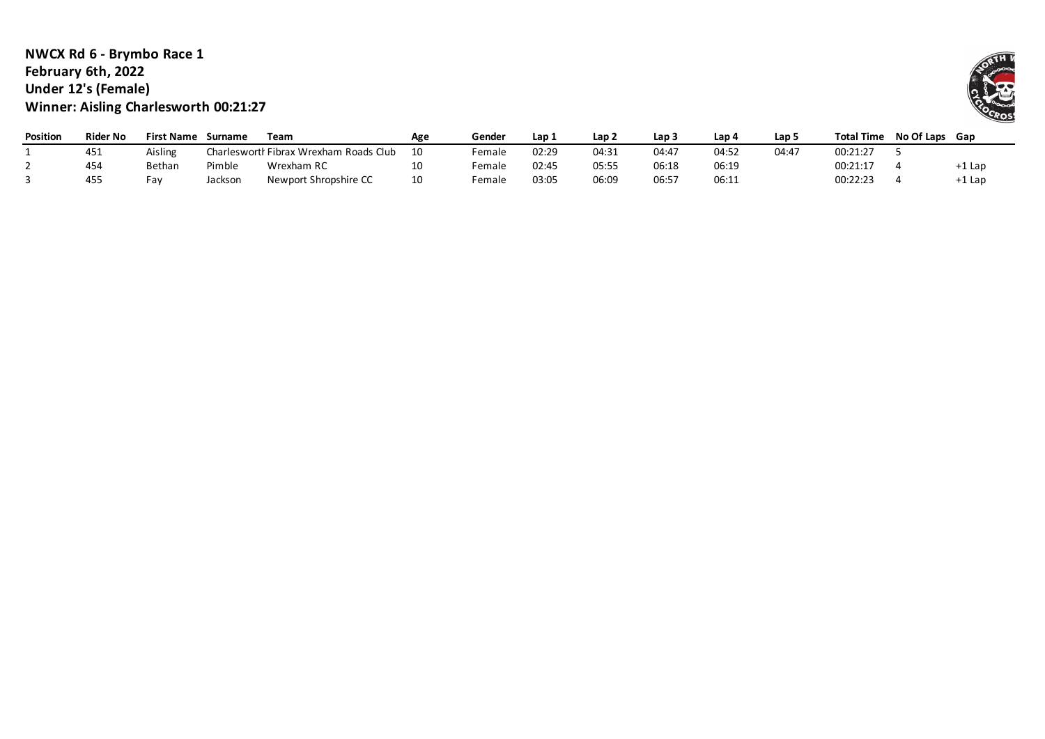## **NWCX Rd 6 - Brymbo Race 1 February 6th, 2022 Under 12's (Female) Winner: Aisling Charlesworth 00:21:27**

| <b>Position</b> | Rider No | <b>First Name</b> | Surname | Team                                   | Age | Gender | Lap 1 | Lap 2 | Lap : | ، Lap | Lap 5 | <b>Total Time</b> | No Of Laps Gap |        |
|-----------------|----------|-------------------|---------|----------------------------------------|-----|--------|-------|-------|-------|-------|-------|-------------------|----------------|--------|
|                 | 451      | Aisling           |         | Charlesworth Fibrax Wrexham Roads Club | 10  | Female | 02:29 | 04:31 | 04:47 | 04:52 | 04:47 | 00:21:27          |                |        |
|                 | 454      | Bethan            | Pimble  | Wrexham RC                             | 10  | Female | 02:45 | 05:55 | 06:18 | 06:19 |       | 00:21:17          |                | +1 Lap |
|                 | 455      | Fav               | Jackson | Newport Shropshire CC                  | 10  | Female | 03:05 | 06:09 | 06:57 | 06:11 |       | 00:22:23          |                | -1 Lap |

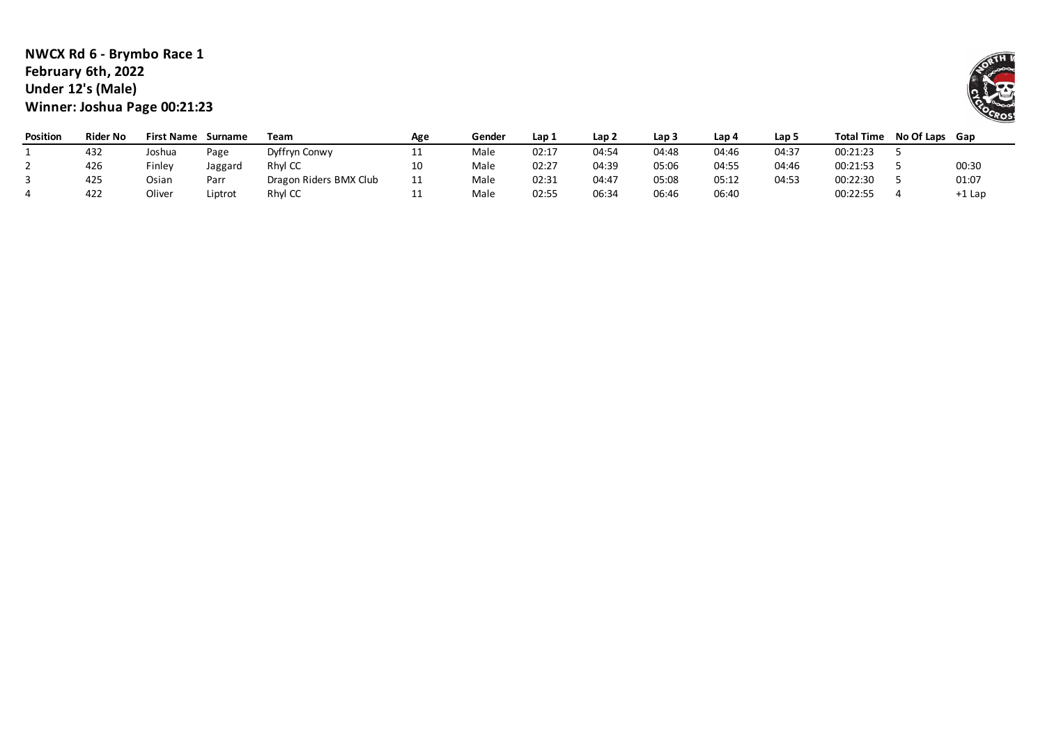## **NWCX Rd 6 - Brymbo Race 1 February 6th, 2022 Under 12's (Male) Winner: Joshua Page 00:21:23**

| <b>Position</b> | <b>Rider No</b> | <b>First Name</b> | Surname | Team                   | Age             | Gender | Lap 1 | Lap <sub>2</sub> | Lap <sub>3</sub> | Lap 4 | Lap 5 | <b>Total Time</b> | No Of Laps Gap |        |
|-----------------|-----------------|-------------------|---------|------------------------|-----------------|--------|-------|------------------|------------------|-------|-------|-------------------|----------------|--------|
|                 | 432             | Joshua            | Page    | Dyffryn Conwy          | --              | Male   | 02:17 | 04:54            | 04:48            | 04:46 | 04:37 | 00:21:23          |                |        |
|                 | 426             | Finley            | Jaggard | Rhyl CC                | 10              | Male   | 02:27 | 04:39            | 05:06            | 04:55 | 04:46 | 00:21:53          |                | 00:30  |
|                 | 425             | Osian             | Parr    | Dragon Riders BMX Club | 11<br><b>++</b> | Male   | 02:31 | 04:47            | 05:08            | 05:12 | 04:53 | 00:22:30          |                | 01:07  |
|                 | 422             | Oliver            | iptrot  | Rhyl CC                | <b>++</b>       | Male   | 02:55 | 06:34            | 06:46            | 06:40 |       | 00:22:55          |                | +1 Lap |

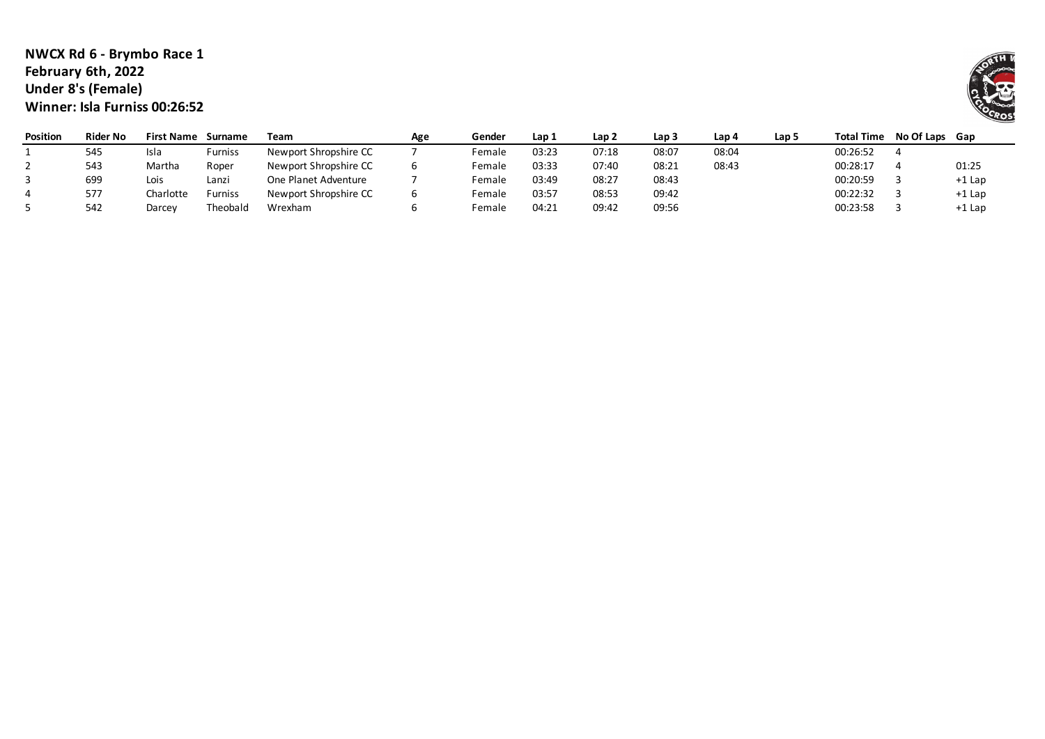#### **NWCX Rd 6 - Brymbo Race 1 February 6th, 2022 Under 8's (Female) Winner: Isla Furniss 00:26:52**

| <b>Position</b> | <b>Rider No</b> | <b>First Name</b> | Surname        | Team                  | Age | Gender | Lap 1 | Lap 2 | Lap <sub>3</sub> | Lap 4 | Lap 5 | <b>Total Time</b> | No Of Laps Gap |        |
|-----------------|-----------------|-------------------|----------------|-----------------------|-----|--------|-------|-------|------------------|-------|-------|-------------------|----------------|--------|
|                 | 545             | Isla              | <b>Furniss</b> | Newport Shropshire CC |     | Female | 03:23 | 07:18 | 08:07            | 08:04 |       | 00:26:52          |                |        |
|                 | 543             | Martha            | Roper          | Newport Shropshire CC |     | Female | 03:33 | 07:40 | 08:21            | 08:43 |       | 00:28:17          |                | 01:25  |
|                 | 699             | Lois              | Lanzi          | One Planet Adventure  |     | Female | 03:49 | 08:27 | 08:43            |       |       | 00:20:59          |                | +1 Lap |
|                 | 577             | Charlotte         | <b>Furniss</b> | Newport Shropshire CC |     | Female | 03:57 | 08:53 | 09:42            |       |       | 00:22:32          |                | +1 Lap |
|                 | 542             | Darcey            | Theobald       | Wrexham               |     | Female | 04:21 | 09:42 | 09:56            |       |       | 00:23:58          |                | +1 Lap |